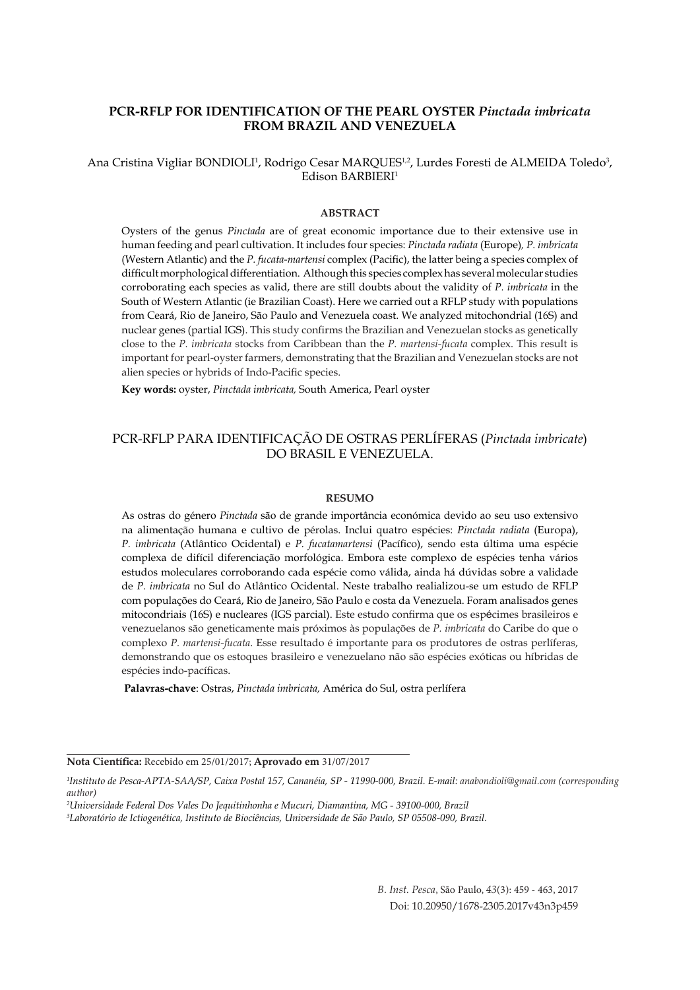# **PCR-RFLP FOR IDENTIFICATION OF THE PEARL OYSTER** *Pinctada imbricata*  **FROM BRAZIL AND VENEZUELA**

Ana Cristina Vigliar BONDIOLI<sup>1</sup>, Rodrigo Cesar MARQUES<sup>1,2</sup>, Lurdes Foresti de ALMEIDA Toledo<sup>3</sup>, Edison BARBIERI1

#### **ABSTRACT**

Oysters of the genus *Pinctada* are of great economic importance due to their extensive use in human feeding and pearl cultivation. It includes four species: *Pinctada radiata* (Europe)*, P. imbricata*  (Western Atlantic) and the *P. fucata-martensi* complex (Pacific), the latter being a species complex of difficult morphological differentiation. Although this species complex has several molecular studies corroborating each species as valid, there are still doubts about the validity of *P. imbricata* in the South of Western Atlantic (ie Brazilian Coast). Here we carried out a RFLP study with populations from Ceará, Rio de Janeiro, São Paulo and Venezuela coast. We analyzed mitochondrial (16S) and nuclear genes (partial IGS). This study confirms the Brazilian and Venezuelan stocks as genetically close to the *P. imbricata* stocks from Caribbean than the *P. martensi-fucata* complex. This result is important for pearl-oyster farmers, demonstrating that the Brazilian and Venezuelan stocks are not alien species or hybrids of Indo-Pacific species.

**Key words:** oyster, *Pinctada imbricata,* South America, Pearl oyster

# PCR-RFLP PARA IDENTIFICAÇÃO DE OSTRAS PERLÍFERAS (*Pinctada imbricate*) DO BRASIL E VENEZUELA.

#### **RESUMO**

As ostras do género *Pinctada* são de grande importância económica devido ao seu uso extensivo na alimentação humana e cultivo de pérolas. Inclui quatro espécies: *Pinctada radiata* (Europa), *P. imbricata* (Atlântico Ocidental) e *P. fucatamartensi* (Pacífico), sendo esta última uma espécie complexa de difícil diferenciação morfológica. Embora este complexo de espécies tenha vários estudos moleculares corroborando cada espécie como válida, ainda há dúvidas sobre a validade de *P. imbricata* no Sul do Atlântico Ocidental. Neste trabalho realializou-se um estudo de RFLP com populações do Ceará, Rio de Janeiro, São Paulo e costa da Venezuela. Foram analisados genes mitocondriais (16S) e nucleares (IGS parcial). Este estudo confirma que os espécimes brasileiros e venezuelanos são geneticamente mais próximos às populações de *P. imbricata* do Caribe do que o complexo *P. martensi-fucata*. Esse resultado é importante para os produtores de ostras perlíferas, demonstrando que os estoques brasileiro e venezuelano não são espécies exóticas ou híbridas de espécies indo-pacíficas.

 **Palavras-chave**: Ostras, *Pinctada imbricata,* América do Sul, ostra perlífera

**Nota Científica:** Recebido em 25/01/2017; **Aprovado em** 31/07/2017

*B. Inst. Pesca*, São Paulo, *43*(3): 459 - 463, 2017 Doi: 10.20950/1678-2305.2017v43n3p459

*<sup>1</sup> Instituto de Pesca-APTA-SAA/SP, Caixa Postal 157, Cananéia, SP - 11990-000, Brazil. E-mail: anabondioli@gmail.com (corresponding author)*

*<sup>2</sup> Universidade Federal Dos Vales Do Jequitinhonha e Mucuri, Diamantina, MG - 39100-000, Brazil* 

*<sup>3</sup> Laboratório de Ictiogenética, Instituto de Biociências, Universidade de São Paulo, SP 05508-090, Brazil.*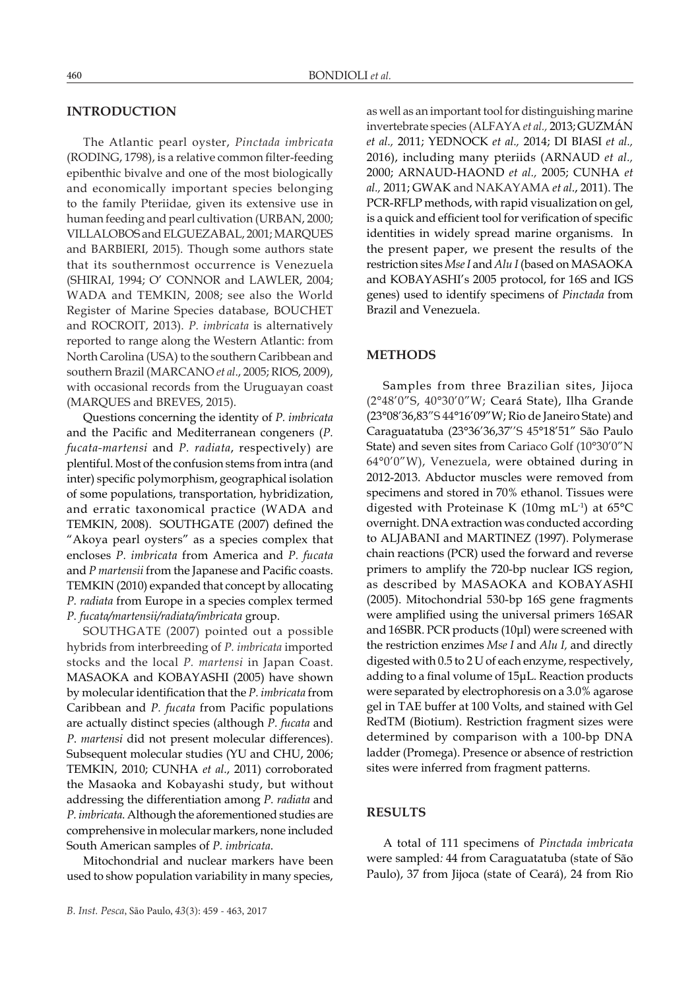#### **INTRODUCTION**

The Atlantic pearl oyster, *Pinctada imbricata*  (RODING, 1798), is a relative common filter-feeding epibenthic bivalve and one of the most biologically and economically important species belonging to the family Pteriidae, given its extensive use in human feeding and pearl cultivation (URBAN, 2000; VILLALOBOS and ELGUEZABAL, 2001; MARQUES and BARBIERI, 2015). Though some authors state that its southernmost occurrence is Venezuela (SHIRAI, 1994; O' CONNOR and LAWLER, 2004; WADA and TEMKIN, 2008; see also the World Register of Marine Species database, BOUCHET and ROCROIT, 2013). *P. imbricata* is alternatively reported to range along the Western Atlantic: from North Carolina (USA) to the southern Caribbean and southern Brazil (MARCANO *et al*., 2005; RIOS, 2009), with occasional records from the Uruguayan coast (MARQUES and BREVES, 2015).

Questions concerning the identity of *P. imbricata* and the Pacific and Mediterranean congeners (*P. fucata-martensi* and *P. radiata*, respectively) are plentiful. Most of the confusion stems from intra (and inter) specific polymorphism, geographical isolation of some populations, transportation, hybridization, and erratic taxonomical practice (WADA and TEMKIN, 2008). SOUTHGATE (2007) defined the "Akoya pearl oysters" as a species complex that encloses *P. imbricata* from America and *P. fucata*  and *P martensii* from the Japanese and Pacific coasts. TEMKIN (2010) expanded that concept by allocating *P. radiata* from Europe in a species complex termed *P. fucata/martensii/radiata/imbricata* group.

SOUTHGATE (2007) pointed out a possible hybrids from interbreeding of *P. imbricata* imported stocks and the local *P. martensi* in Japan Coast. MASAOKA and KOBAYASHI (2005) have shown by molecular identification that the *P. imbricata* from Caribbean and *P. fucata* from Pacific populations are actually distinct species (although *P. fucata* and *P*. *martensi* did not present molecular differences). Subsequent molecular studies (YU and CHU, 2006; TEMKIN, 2010; CUNHA *et al*., 2011) corroborated the Masaoka and Kobayashi study, but without addressing the differentiation among *P. radiata* and *P. imbricata*. Although the aforementioned studies are comprehensive in molecular markers, none included South American samples of *P. imbricata*.

Mitochondrial and nuclear markers have been used to show population variability in many species,

as well as an important tool for distinguishing marine invertebrate species (ALFAYA *et al.,* 2013; GUZMÁN *et al.,* 2011; YEDNOCK *et al.,* 2014; DI BIASI *et al.,* 2016), including many pteriids (ARNAUD *et al.,* 2000; ARNAUD-HAOND *et al.,* 2005; CUNHA *et al.,* 2011; GWAK and NAKAYAMA *et al*., 2011). The PCR-RFLP methods, with rapid visualization on gel, is a quick and efficient tool for verification of specific identities in widely spread marine organisms. In the present paper, we present the results of the restriction sites *Mse I* and *Alu I* (based on MASAOKA and KOBAYASHI's 2005 protocol, for 16S and IGS genes) used to identify specimens of *Pinctada* from Brazil and Venezuela.

#### **METHODS**

Samples from three Brazilian sites, Jijoca (2°48'0"S, 40°30'0"W; Ceará State), Ilha Grande (23°08'36,83"S 44°16'09"W; Rio de Janeiro State) and Caraguatatuba (23°36'36,37''S 45°18'51" São Paulo State) and seven sites from Cariaco Golf (10°30'0"N 64°0'0"W), Venezuela, were obtained during in 2012-2013. Abductor muscles were removed from specimens and stored in 70% ethanol. Tissues were digested with Proteinase K (10mg mL-1) at 65°C overnight. DNA extraction was conducted according to ALJABANI and MARTINEZ (1997). Polymerase chain reactions (PCR) used the forward and reverse primers to amplify the 720-bp nuclear IGS region, as described by MASAOKA and KOBAYASHI (2005). Mitochondrial 530-bp 16S gene fragments were amplified using the universal primers 16SAR and 16SBR. PCR products (10μl) were screened with the restriction enzimes *Mse I* and *Alu I,* and directly digested with 0.5 to 2 U of each enzyme, respectively, adding to a final volume of 15μL. Reaction products were separated by electrophoresis on a 3.0% agarose gel in TAE buffer at 100 Volts, and stained with Gel RedTM (Biotium). Restriction fragment sizes were determined by comparison with a 100-bp DNA ladder (Promega). Presence or absence of restriction sites were inferred from fragment patterns.

### **RESULTS**

A total of 111 specimens of *Pinctada imbricata* were sampled*:* 44 from Caraguatatuba (state of São Paulo), 37 from Jijoca (state of Ceará), 24 from Rio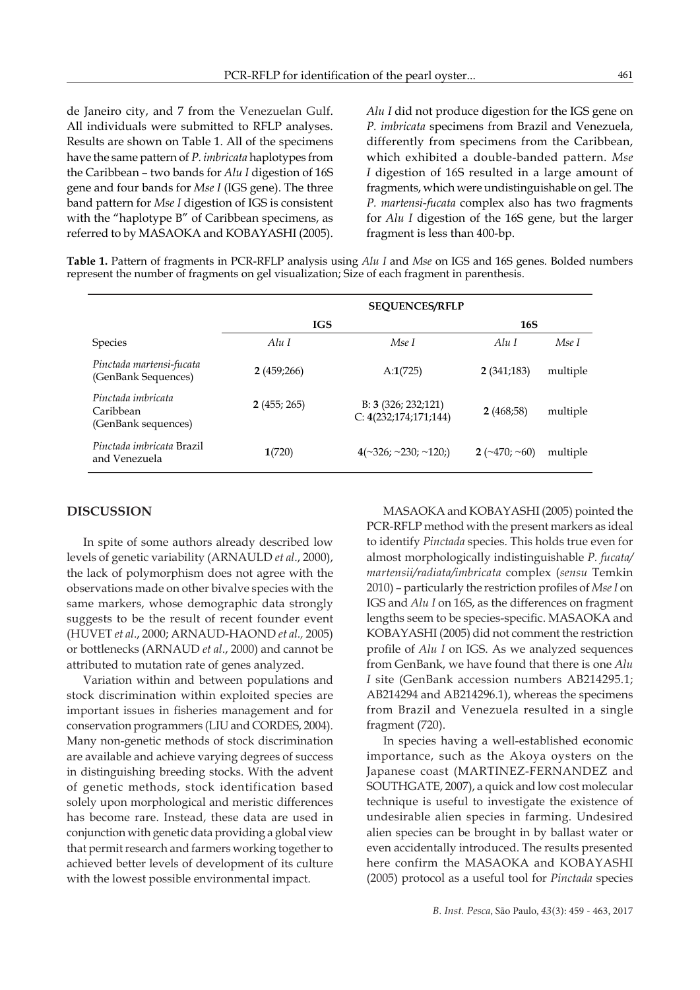de Janeiro city, and 7 from the Venezuelan Gulf. All individuals were submitted to RFLP analyses. Results are shown on Table 1. All of the specimens have the same pattern of *P. imbricata* haplotypes from the Caribbean – two bands for *Alu I* digestion of 16S gene and four bands for *Mse I* (IGS gene). The three band pattern for *Mse I* digestion of IGS is consistent with the "haplotype B" of Caribbean specimens, as referred to by MASAOKA and KOBAYASHI (2005).

*Alu I* did not produce digestion for the IGS gene on *P. imbricata* specimens from Brazil and Venezuela, differently from specimens from the Caribbean, which exhibited a double-banded pattern. *Mse I* digestion of 16S resulted in a large amount of fragments, which were undistinguishable on gel. The *P. martensi-fucata* complex also has two fragments for *Alu I* digestion of the 16S gene, but the larger fragment is less than 400-bp.

**Table 1.** Pattern of fragments in PCR-RFLP analysis using *Alu I* and *Mse* on IGS and 16S genes. Bolded numbers represent the number of fragments on gel visualization; Size of each fragment in parenthesis.

|                                                        | <b>SEQUENCES/RFLP</b> |                                                  |                        |          |
|--------------------------------------------------------|-----------------------|--------------------------------------------------|------------------------|----------|
|                                                        | <b>IGS</b>            |                                                  | <b>16S</b>             |          |
| <b>Species</b>                                         | Alu I                 | Mse 1                                            | Alu I                  | Mse I    |
| Pinctada martensi-fucata<br>(GenBank Sequences)        | 2(459;266)            | A:1(725)                                         | 2(341;183)             | multiple |
| Pinctada imbricata<br>Caribbean<br>(GenBank sequences) | 2(455; 265)           | B: $3(326; 232; 121)$<br>C: $4(232;174;171;144)$ | 2(468;58)              | multiple |
| Pinctada imbricata Brazil<br>and Venezuela             | 1(720)                | $4(\sim 326; \sim 230; \sim 120)$                | $2(\sim 470; \sim 60)$ | multiple |

### **DISCUSSION**

In spite of some authors already described low levels of genetic variability (ARNAULD *et al*., 2000), the lack of polymorphism does not agree with the observations made on other bivalve species with the same markers, whose demographic data strongly suggests to be the result of recent founder event (HUVET *et al*., 2000; ARNAUD-HAOND *et al.,* 2005) or bottlenecks (ARNAUD *et al*., 2000) and cannot be attributed to mutation rate of genes analyzed.

Variation within and between populations and stock discrimination within exploited species are important issues in fisheries management and for conservation programmers (LIU and CORDES, 2004). Many non-genetic methods of stock discrimination are available and achieve varying degrees of success in distinguishing breeding stocks. With the advent of genetic methods, stock identification based solely upon morphological and meristic differences has become rare. Instead, these data are used in conjunction with genetic data providing a global view that permit research and farmers working together to achieved better levels of development of its culture with the lowest possible environmental impact.

MASAOKA and KOBAYASHI (2005) pointed the PCR-RFLP method with the present markers as ideal to identify *Pinctada* species. This holds true even for almost morphologically indistinguishable *P. fucata/ martensii/radiata/imbricata* complex (*sensu* Temkin 2010) – particularly the restriction profiles of *Mse I* on IGS and *Alu I* on 16S, as the differences on fragment lengths seem to be species-specific. MASAOKA and KOBAYASHI (2005) did not comment the restriction profile of *Alu I* on IGS. As we analyzed sequences from GenBank, we have found that there is one *Alu I* site (GenBank accession numbers AB214295.1; AB214294 and AB214296.1), whereas the specimens from Brazil and Venezuela resulted in a single fragment (720).

In species having a well-established economic importance, such as the Akoya oysters on the Japanese coast (MARTINEZ-FERNANDEZ and SOUTHGATE, 2007), a quick and low cost molecular technique is useful to investigate the existence of undesirable alien species in farming. Undesired alien species can be brought in by ballast water or even accidentally introduced. The results presented here confirm the MASAOKA and KOBAYASHI (2005) protocol as a useful tool for *Pinctada* species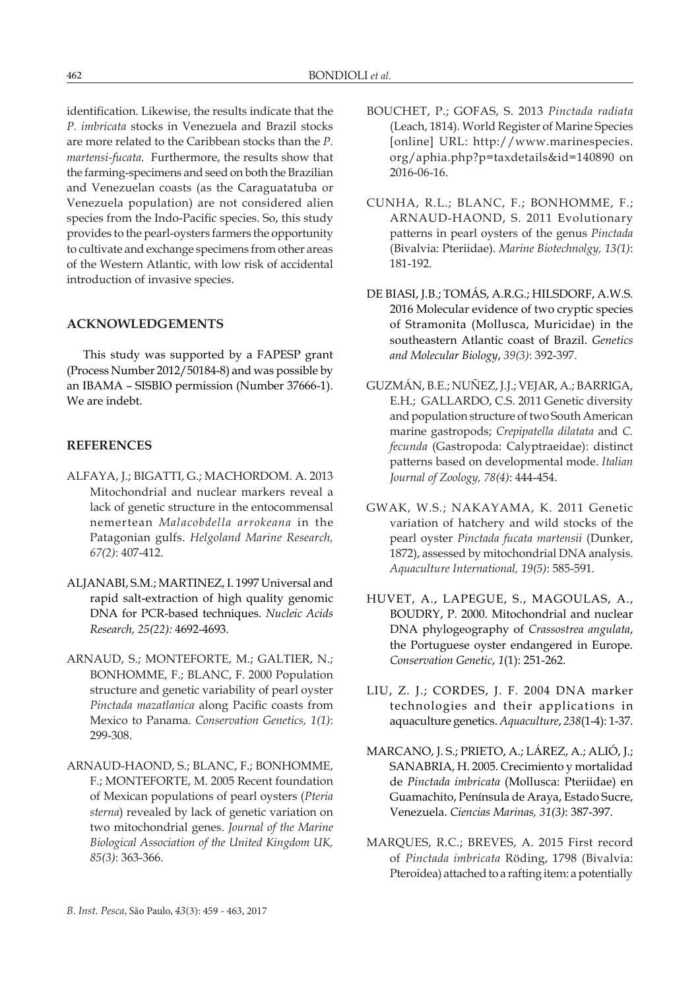identification. Likewise, the results indicate that the *P. imbricata* stocks in Venezuela and Brazil stocks are more related to the Caribbean stocks than the *P. martensi-fucata*. Furthermore, the results show that the farming-specimens and seed on both the Brazilian and Venezuelan coasts (as the Caraguatatuba or Venezuela population) are not considered alien species from the Indo-Pacific species. So, this study provides to the pearl-oysters farmers the opportunity to cultivate and exchange specimens from other areas of the Western Atlantic, with low risk of accidental introduction of invasive species.

### **ACKNOWLEDGEMENTS**

This study was supported by a FAPESP grant (Process Number 2012/50184-8) and was possible by an IBAMA – SISBIO permission (Number 37666-1). We are indebt.

# **REFERENCES**

- ALFAYA, J.; BIGATTI, G.; MACHORDOM. A. 2013 Mitochondrial and nuclear markers reveal a lack of genetic structure in the entocommensal nemertean *Malacobdella arrokeana* in the Patagonian gulfs. *Helgoland Marine Research, 67(2)*: 407-412.
- ALJANABI, S.M.; MARTINEZ, I. 1997 Universal and rapid salt-extraction of high quality genomic DNA for PCR-based techniques. *Nucleic Acids Research, 25(22):* 4692-4693.
- ARNAUD, S.; MONTEFORTE, M.; GALTIER, N.; BONHOMME, F.; BLANC, F. 2000 Population structure and genetic variability of pearl oyster *Pinctada mazatlanica* along Pacific coasts from Mexico to Panama. *Conservation Genetics, 1(1)*: 299-308.
- ARNAUD-HAOND, S.; BLANC, F.; BONHOMME, F.; MONTEFORTE, M. 2005 Recent foundation of Mexican populations of pearl oysters (*Pteria sterna*) revealed by lack of genetic variation on two mitochondrial genes. *Journal of the Marine Biological Association of the United Kingdom UK, 85(3)*: 363-366.
- BOUCHET, P.; GOFAS, S. 2013 *Pinctada radiata* (Leach, 1814). World Register of Marine Species [online] URL: http://www.marinespecies. org/aphia.php?p=taxdetails&id=140890 on 2016-06-16.
- CUNHA, R.L.; BLANC, F.; BONHOMME, F.; ARNAUD-HAOND, S. 2011 Evolutionary patterns in pearl oysters of the genus *Pinctada* (Bivalvia: Pteriidae). *Marine Biotechnolgy, 13(1)*: 181-192.
- DE BIASI, J.B.; TOMÁS, A.R.G.; HILSDORF, A.W.S. 2016 Molecular evidence of two cryptic species of Stramonita (Mollusca, Muricidae) in the southeastern Atlantic coast of Brazil. *Genetics and Molecular Biology*, *39(3)*: 392-397.
- GUZMÁN, B.E.; NUÑEZ, J.J.; VEJAR, A.; BARRIGA, E.H.; GALLARDO, C.S. 2011 Genetic diversity and population structure of two South American marine gastropods; *Crepipatella dilatata* and *C. fecunda* (Gastropoda: Calyptraeidae): distinct patterns based on developmental mode. *Italian Journal of Zoology, 78(4)*: 444-454.
- GWAK, W.S.; NAKAYAMA, K. 2011 Genetic variation of hatchery and wild stocks of the pearl oyster *Pinctada fucata martensii* (Dunker, 1872), assessed by mitochondrial DNA analysis. *Aquaculture International, 19(5)*: 585-591.
- HUVET, A., LAPEGUE, S., MAGOULAS, A., BOUDRY, P. 2000. Mitochondrial and nuclear DNA phylogeography of *Crassostrea angulata*, the Portuguese oyster endangered in Europe. *Conservation Genetic*, *1*(1): 251-262.
- LIU, Z. J.; CORDES, J. F. 2004 DNA marker technologies and their applications in aquaculture genetics. *Aquaculture*, *238*(1-4): 1-37.
- MARCANO, J. S.; PRIETO, A.; LÁREZ, A.; ALIÓ, J.; SANABRIA, H. 2005. Crecimiento y mortalidad de *Pinctada imbricata* (Mollusca: Pteriidae) en Guamachito, Península de Araya, Estado Sucre, Venezuela. *Ciencias Marinas, 31(3)*: 387-397.
- MARQUES, R.C.; BREVES, A. 2015 First record of *Pinctada imbricata* Röding, 1798 (Bivalvia: Pteroidea) attached to a rafting item: a potentially